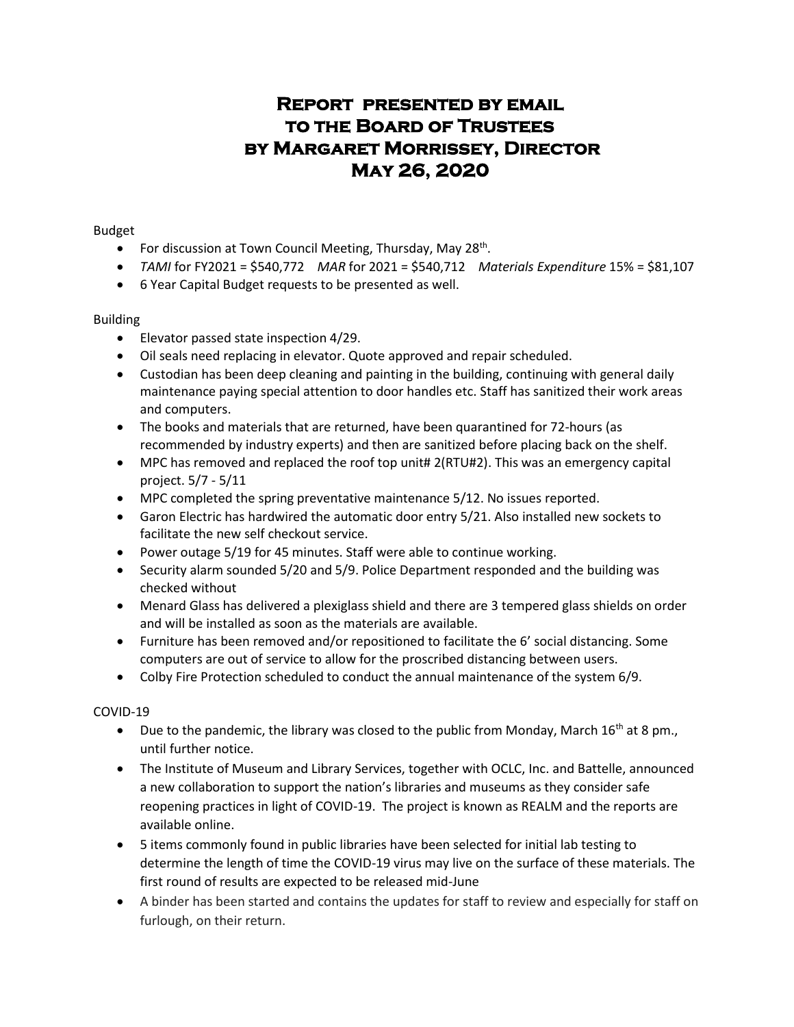# **Report presented by email to the Board of Trustees by Margaret Morrissey, Director May 26, 2020**

Budget

- For discussion at Town Council Meeting, Thursday, May 28<sup>th</sup>.
- *TAMI* for FY2021 = \$540,772 *MAR* for 2021 = \$540,712 *Materials Expenditure* 15% = \$81,107
- 6 Year Capital Budget requests to be presented as well.

# Building

- Elevator passed state inspection 4/29.
- Oil seals need replacing in elevator. Quote approved and repair scheduled.
- Custodian has been deep cleaning and painting in the building, continuing with general daily maintenance paying special attention to door handles etc. Staff has sanitized their work areas and computers.
- The books and materials that are returned, have been quarantined for 72-hours (as recommended by industry experts) and then are sanitized before placing back on the shelf.
- MPC has removed and replaced the roof top unit# 2(RTU#2). This was an emergency capital project. 5/7 - 5/11
- MPC completed the spring preventative maintenance 5/12. No issues reported.
- Garon Electric has hardwired the automatic door entry 5/21. Also installed new sockets to facilitate the new self checkout service.
- Power outage 5/19 for 45 minutes. Staff were able to continue working.
- Security alarm sounded 5/20 and 5/9. Police Department responded and the building was checked without
- Menard Glass has delivered a plexiglass shield and there are 3 tempered glass shields on order and will be installed as soon as the materials are available.
- Furniture has been removed and/or repositioned to facilitate the 6' social distancing. Some computers are out of service to allow for the proscribed distancing between users.
- Colby Fire Protection scheduled to conduct the annual maintenance of the system 6/9.

# COVID-19

- $\bullet$  Due to the pandemic, the library was closed to the public from Monday, March 16<sup>th</sup> at 8 pm., until further notice.
- The Institute of Museum and Library Services, together with OCLC, Inc. and Battelle, announced a new collaboration to support the nation's libraries and museums as they consider safe reopening practices in light of COVID-19. The project is known as REALM and the reports are available online.
- 5 items commonly found in public libraries have been selected for initial lab testing to determine the length of time the COVID-19 virus may live on the surface of these materials. The first round of results are expected to be released mid-June
- A binder has been started and contains the updates for staff to review and especially for staff on furlough, on their return.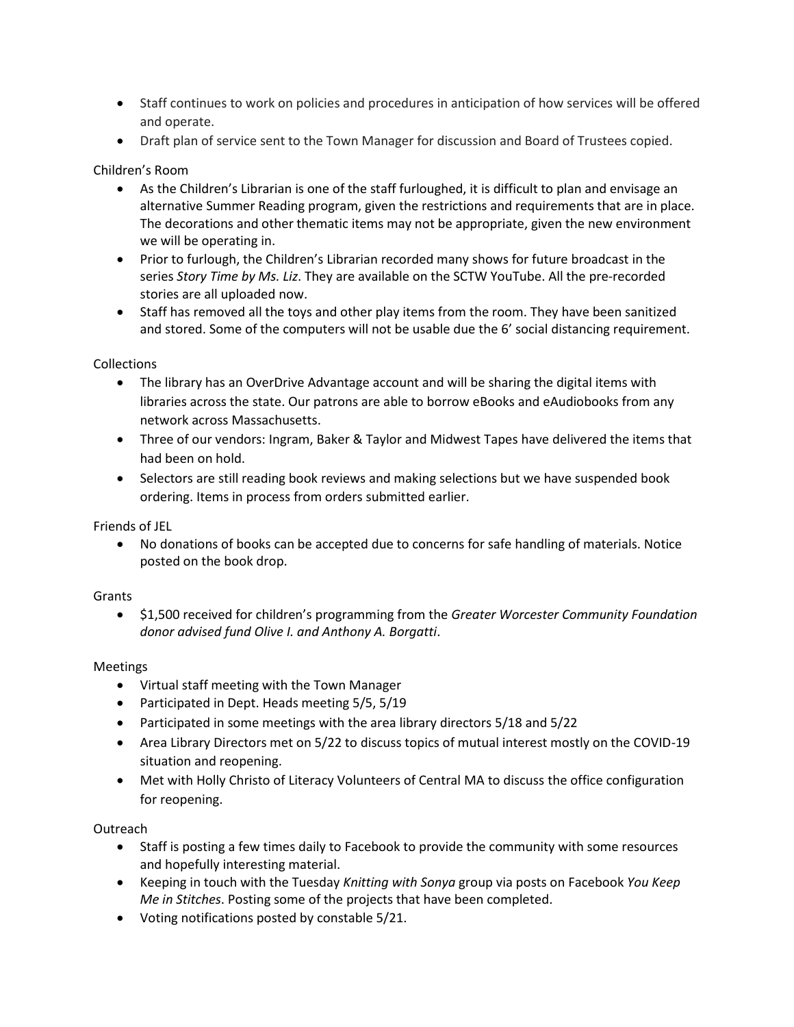- Staff continues to work on policies and procedures in anticipation of how services will be offered and operate.
- Draft plan of service sent to the Town Manager for discussion and Board of Trustees copied.

# Children's Room

- As the Children's Librarian is one of the staff furloughed, it is difficult to plan and envisage an alternative Summer Reading program, given the restrictions and requirements that are in place. The decorations and other thematic items may not be appropriate, given the new environment we will be operating in.
- Prior to furlough, the Children's Librarian recorded many shows for future broadcast in the series *Story Time by Ms. Liz*. They are available on the SCTW YouTube. All the pre-recorded stories are all uploaded now.
- Staff has removed all the toys and other play items from the room. They have been sanitized and stored. Some of the computers will not be usable due the 6' social distancing requirement.

## Collections

- The library has an OverDrive Advantage account and will be sharing the digital items with libraries across the state. Our patrons are able to borrow eBooks and eAudiobooks from any network across Massachusetts.
- Three of our vendors: Ingram, Baker & Taylor and Midwest Tapes have delivered the items that had been on hold.
- Selectors are still reading book reviews and making selections but we have suspended book ordering. Items in process from orders submitted earlier.

Friends of JEL

 No donations of books can be accepted due to concerns for safe handling of materials. Notice posted on the book drop.

#### Grants

 \$1,500 received for children's programming from the *Greater Worcester Community Foundation donor advised fund Olive I. and Anthony A. Borgatti*.

#### Meetings

- Virtual staff meeting with the Town Manager
- Participated in Dept. Heads meeting 5/5, 5/19
- Participated in some meetings with the area library directors 5/18 and 5/22
- Area Library Directors met on 5/22 to discuss topics of mutual interest mostly on the COVID-19 situation and reopening.
- Met with Holly Christo of Literacy Volunteers of Central MA to discuss the office configuration for reopening.

# **Outreach**

- Staff is posting a few times daily to Facebook to provide the community with some resources and hopefully interesting material.
- Keeping in touch with the Tuesday *Knitting with Sonya* group via posts on Facebook *You Keep Me in Stitches*. Posting some of the projects that have been completed.
- Voting notifications posted by constable 5/21.